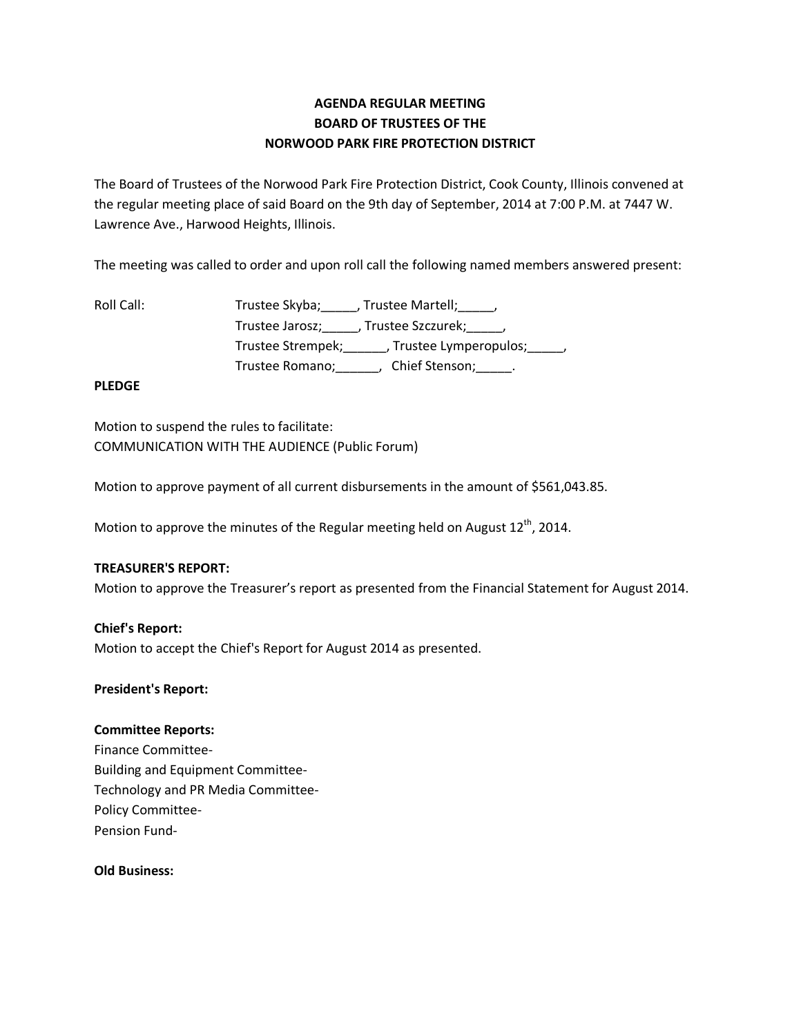# **AGENDA REGULAR MEETING BOARD OF TRUSTEES OF THE NORWOOD PARK FIRE PROTECTION DISTRICT**

The Board of Trustees of the Norwood Park Fire Protection District, Cook County, Illinois convened at the regular meeting place of said Board on the 9th day of September, 2014 at 7:00 P.M. at 7447 W. Lawrence Ave., Harwood Heights, Illinois.

The meeting was called to order and upon roll call the following named members answered present:

| Roll Call: | Trustee Skyba; , Trustee Martell; ,                      |
|------------|----------------------------------------------------------|
|            | Trustee Jarosz; , Trustee Szczurek; ,                    |
|            | Trustee Strempek; _______, Trustee Lymperopulos; ______, |
|            | Chief Stenson; ______.<br>Trustee Romano;                |

# **PLEDGE**

Motion to suspend the rules to facilitate: COMMUNICATION WITH THE AUDIENCE (Public Forum)

Motion to approve payment of all current disbursements in the amount of \$561,043.85.

Motion to approve the minutes of the Regular meeting held on August  $12^{th}$ , 2014.

## **TREASURER'S REPORT:**

Motion to approve the Treasurer's report as presented from the Financial Statement for August 2014.

#### **Chief's Report:**

Motion to accept the Chief's Report for August 2014 as presented.

#### **President's Report:**

#### **Committee Reports:**

Finance Committee-Building and Equipment Committee-Technology and PR Media Committee-Policy Committee-Pension Fund-

# **Old Business:**